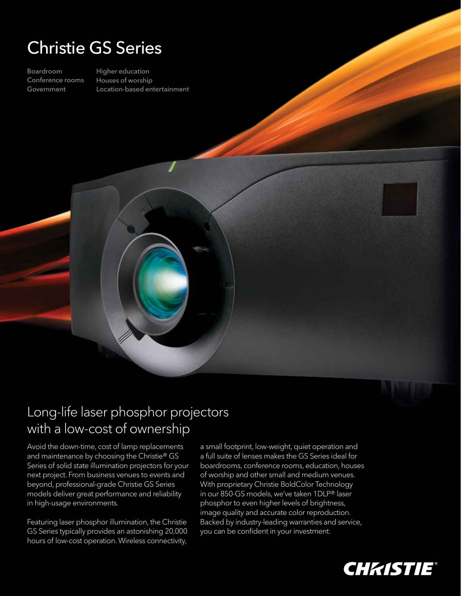# Christie GS Series

Boardroom Conference rooms Government

Higher education Houses of worship Location-based entertainment



### Long-life laser phosphor projectors with a low-cost of ownership

Avoid the down-time, cost of lamp replacements and maintenance by choosing the Christie® GS Series of solid state illumination projectors for your next project. From business venues to events and beyond, professional-grade Christie GS Series models deliver great performance and reliability in high-usage environments.

Featuring laser phosphor illumination, the Christie GS Series typically provides an astonishing 20,000 hours of low-cost operation. Wireless connectivity, a small footprint, low-weight, quiet operation and a full suite of lenses makes the GS Series ideal for boardrooms, conference rooms, education, houses of worship and other small and medium venues. With proprietary Christie BoldColor Technology in our 850-GS models, we've taken 1DLP® laser phosphor to even higher levels of brightness, image quality and accurate color reproduction. Backed by industry-leading warranties and service, you can be confident in your investment.

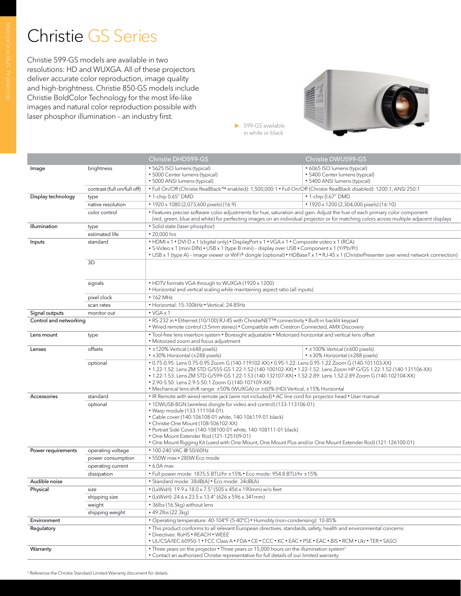## Christie GS Series

Christie 599-GS models are available in two resolutions: HD and WUXGA. All of these projectors deliver accurate color reproduction, image quality and high-brightness. Christie 850-GS models include Christie BoldColor Technology for the most life-like images and natural color reproduction possible with laser phosphor illumination – an industry first.



599-GS available in white or black

|                        |                             | Christie DHD599-GS                                                                                                                                                                                                                                                                                                                                                                                                                                                                           | Christie DWU599-GS                                                                                     |  |  |
|------------------------|-----------------------------|----------------------------------------------------------------------------------------------------------------------------------------------------------------------------------------------------------------------------------------------------------------------------------------------------------------------------------------------------------------------------------------------------------------------------------------------------------------------------------------------|--------------------------------------------------------------------------------------------------------|--|--|
| Image                  | brightness                  | • 5625 ISO lumens (typical)<br>· 5000 Center lumens (typical)<br>• 5000 ANSI lumens (typical)                                                                                                                                                                                                                                                                                                                                                                                                | • 6065 ISO lumens (typical)<br>• 5400 Center lumens (typical)<br>• 5400 ANSI lumens (typical)          |  |  |
|                        | contrast (full on/full off) | · Full On/Off (Christie RealBlack™ enabled): 1,500,000:1 · Full On/Off (Christie RealBlack disabled): 1200:1, ANSI 250:1                                                                                                                                                                                                                                                                                                                                                                     |                                                                                                        |  |  |
| Display technology     | type                        | • 1-chip 0.65" DMD                                                                                                                                                                                                                                                                                                                                                                                                                                                                           | • 1-chip 0.67" DMD                                                                                     |  |  |
|                        | native resolution           | • 1920 x 1080 (2,073,600 pixels) (16:9)                                                                                                                                                                                                                                                                                                                                                                                                                                                      | • 1920 x 1200 (2,304,000 pixels) (16:10)                                                               |  |  |
|                        | color control               | • Features precise software color adjustments for hue, saturation and gain. Adjust the hue of each primary color component<br>(red, green, blue and white) for perfecting images on an individual projector or for matching colors across multiple adjacent displays                                                                                                                                                                                                                         |                                                                                                        |  |  |
| Illumination           | type                        | · Solid state (laser phosphor)                                                                                                                                                                                                                                                                                                                                                                                                                                                               |                                                                                                        |  |  |
|                        | estimated life              | • 20,000 hrs                                                                                                                                                                                                                                                                                                                                                                                                                                                                                 |                                                                                                        |  |  |
| Inputs                 | standard                    | • HDMI x 1 • DVI-D x 1 (digital only) • DisplayPort x 1 • VGA x 1 • Composite video x 1 (RCA)<br>• S-Video x 1 (mini DIN) • USB x 1 (type B mini) - display over USB • Component x 1 (Y/Pb/Pr)<br>• USB x 1 (type A) - image viewer or WiFi® dongle (optional) • HDBaseT x 1 • RJ-45 x 1 (ChristiePresenter over wired network connection)                                                                                                                                                   |                                                                                                        |  |  |
| 3D<br>signals          |                             |                                                                                                                                                                                                                                                                                                                                                                                                                                                                                              |                                                                                                        |  |  |
|                        |                             | • HDTV formats VGA through to WUXGA (1920 x 1200)<br>• Horizontal and vertical scaling while maintaining aspect ratio (all inputs)                                                                                                                                                                                                                                                                                                                                                           |                                                                                                        |  |  |
|                        | pixel clock                 | $\cdot$ 162 MHz                                                                                                                                                                                                                                                                                                                                                                                                                                                                              |                                                                                                        |  |  |
|                        | scan rates                  | • Horizontal: 15-100kHz • Vertical: 24-85Hz                                                                                                                                                                                                                                                                                                                                                                                                                                                  |                                                                                                        |  |  |
| Signal outputs         | monitor out                 | $\cdot$ VGA $\times$ 1                                                                                                                                                                                                                                                                                                                                                                                                                                                                       |                                                                                                        |  |  |
| Control and networking |                             | . RS-232 in • Ethernet (10/100) RJ-45 with ChristieNET™ connectivity • Built-in backlit keypad<br>• Wired remote control (3.5mm stereo) • Compatible with Crestron Connected, AMX Discovery                                                                                                                                                                                                                                                                                                  |                                                                                                        |  |  |
| Lens mount             | type                        | • Tool-free lens insertion system • Boresight adjustable • Motorized horizontal and vertical lens offset<br>• Motorized zoom and focus adjustment                                                                                                                                                                                                                                                                                                                                            |                                                                                                        |  |  |
| Lenses                 | offsets                     | $\cdot$ ±120% Vertical (±648 pixels)<br>• ±30% Horizontal (±288 pixels)                                                                                                                                                                                                                                                                                                                                                                                                                      | $\cdot$ ±100% Vertical (±600 pixels)<br>• ±30% Horizontal (±288 pixels)                                |  |  |
| optional               |                             | • 0.75-0.95: Lens 0.75-0.95 Zoom G (140-119102-XX) • 0.95-1.22: Lens 0.95-1.22 Zoom G (140-101103-XX)<br>. 1.22-1.52; Lens ZM STD G/555-GS 1.22-1.52 (140-100102-XX) . 1.22-1.52; Lens Zoom HP G/GS 1.22-1.52 (140-131106-XX)<br>• 1.22-1.53: Lens ZM STD G/599-GS 1.22-1.53 (140-132107-XX) • 1.52-2.89: Lens 1.52-2.89 Zoom G (140-102104-XX)<br>• 2.90-5.50: Lens 2.9-5.50:1 Zoom G (140-107109-XX)<br>• Mechanical lens-shift range: ±50% (WUXGA) or ±60% (HD) Vertical, ±15% Horizontal |                                                                                                        |  |  |
| Accessories            | standard                    |                                                                                                                                                                                                                                                                                                                                                                                                                                                                                              | • IR Remote with wired remote jack (wire not included) • AC line cord for projector head • User manual |  |  |
|                        | optional                    | • 1DWUSB-BGN (wireless dongle for video and control) (133-113106-01)<br>• Warp module (133-111104-01)<br>• Cable cover (140-106108-01 white, 140-106119-01 black)<br>• Christie One Mount (108-506102-XX)<br>• Portrait Side Cover (140-108100-01 white, 140-108111-01 black)<br>• One Mount Extender Rod (121-125109-01)<br>• One Mount Rigging Kit (used with One Mount, One Mount Plus and/or One Mount Extender Rod) (121-126100-01)                                                     |                                                                                                        |  |  |
| Power requirements     | operating voltage           | • 100-240 VAC @ 50/60Hz                                                                                                                                                                                                                                                                                                                                                                                                                                                                      |                                                                                                        |  |  |
|                        | power consumption           | • 550W max • 280W Eco mode                                                                                                                                                                                                                                                                                                                                                                                                                                                                   |                                                                                                        |  |  |
|                        | operating current           | $\cdot$ 6.0A max                                                                                                                                                                                                                                                                                                                                                                                                                                                                             |                                                                                                        |  |  |
|                        | dissipation                 | • Full power mode: 1875.5 BTU/hr ±15% • Eco mode: 954.8 BTU/hr ±15%                                                                                                                                                                                                                                                                                                                                                                                                                          |                                                                                                        |  |  |
| Audible noise          |                             | · Standard mode: 38dB(A) · Eco mode: 34dB(A)                                                                                                                                                                                                                                                                                                                                                                                                                                                 |                                                                                                        |  |  |
| Physical<br>size       |                             | $\cdot$ (LxWxH): 19.9 x 18.0 x 7.5" (505 x 456 x 190mm) w/o feet                                                                                                                                                                                                                                                                                                                                                                                                                             |                                                                                                        |  |  |
|                        | shipping size               | • (LxWxH): 24.6 x 23.5 x 13.4" (626 x 596 x 341mm)                                                                                                                                                                                                                                                                                                                                                                                                                                           |                                                                                                        |  |  |
|                        | weight                      | • 36lbs (16.5kg) without lens                                                                                                                                                                                                                                                                                                                                                                                                                                                                |                                                                                                        |  |  |
|                        | shipping weight             | • 49.2lbs (22.3kg)                                                                                                                                                                                                                                                                                                                                                                                                                                                                           |                                                                                                        |  |  |
| Environment            |                             | • Operating temperature: 40-104°F (5-40°C) • Humidity (non-condensing): 10-85%                                                                                                                                                                                                                                                                                                                                                                                                               |                                                                                                        |  |  |
| Regulatory             |                             | • This product conforms to all relevant European directives, standards, safety, health and environmental concerns<br>• Directives: RoHS • REACH • WEEE<br>• UL/CSA/IEC 60950-1 • FCC Class A • FDA • CE • CCC • KC • EAC • PSE • EAC • BIS • RCM • Ukr • TER • SASO                                                                                                                                                                                                                          |                                                                                                        |  |  |
| Warranty               |                             | • Three years on the projector • Three years or 15,000 hours on the illumination system <sup>1</sup><br>• Contact an authorized Christie representative for full details of our limited warranty                                                                                                                                                                                                                                                                                             |                                                                                                        |  |  |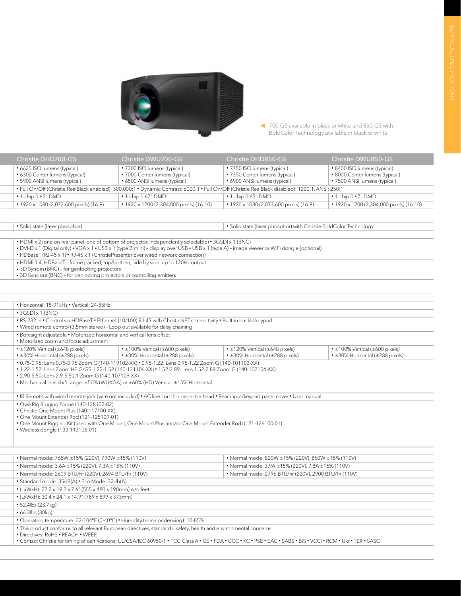

700-GS available in black or white and 850-GS with BoldColor Technology available in black or white

| Christie DHD700-GS                                                                                                                                | Christie DWU700-GS                                             | Christie DHD850-GS                                             | Christie DWU850-GS                                             |  |  |
|---------------------------------------------------------------------------------------------------------------------------------------------------|----------------------------------------------------------------|----------------------------------------------------------------|----------------------------------------------------------------|--|--|
| • 6625 ISO lumens (typical)                                                                                                                       | • 7300 ISO lumens (typical)                                    | • 7750 ISO lumens (typical)                                    | • 8400 ISO lumens (typical)                                    |  |  |
| • 6300 Center lumens (typical)<br>• 5900 ANSI lumens (typical)                                                                                    | • 7000 Center lumens (typical)<br>• 6500 ANSI lumens (typical) | • 7350 Center lumens (typical)<br>• 6900 ANSI lumens (typical) | • 8000 Center lumens (typical)<br>• 7500 ANSI lumens (typical) |  |  |
| . Full On/Off (Christie RealBlack enabled): 300,000:1 . Dynamic Contrast: 6000:1 . Full On/Off (Christie RealBlack disabled): 1200:1, ANSI: 250:1 |                                                                |                                                                |                                                                |  |  |
| $\cdot$ 1-chip 0.65" DMD                                                                                                                          | $\cdot$ 1-chip 0.67" DMD                                       | $\cdot$ 1-chip 0.65" DMD                                       | $\cdot$ 1-chip 0.67" DMD                                       |  |  |
| • 1920 x 1080 (2,073,600 pixels) (16:9)                                                                                                           | • 1920 x 1200 (2,304,000 pixels) (16:10)                       | • 1920 x 1080 (2,073,600 pixels) (16:9)                        | • 1920 x 1200 (2,304,000 pixels) (16:10)                       |  |  |
|                                                                                                                                                   |                                                                |                                                                |                                                                |  |  |

• Solid state (laser phosphor) • Solid state (laser phosphor) with Christie BoldColor Technology

• HDMI x 2 (one on rear panel, one of bottom of projector, independently selectable) • 3GSDI x 1 (BNC)

• DVI-D x 1 (Digital only) • VGA x 1 • USB x 1 (type B mini) – display over USB • USB x 1 (type A) – image viewer or WiFi dongle (optional) • HDBaseT (RJ-45 x 1) • RJ-45 x 1 (ChristiePresenter over wired network connection)

• HDMI 1.4, HDBaseT - frame packed, top/bottom, side by side, up to 120Hz output<br>• 3D Sync in (BNC) - for genlocking projectors<br>• 3D Sync out (BNC) - for genlocking projectors or controlling emitters

|                                                                                                                                                                                                                                           | • Horizontal: 15-91kHz • Vertical: 24-85Hz                                                                                                                                                                                                                                                                                                                        |                                                                                                        |                                                                                                                                        |                                                                               |  |  |  |
|-------------------------------------------------------------------------------------------------------------------------------------------------------------------------------------------------------------------------------------------|-------------------------------------------------------------------------------------------------------------------------------------------------------------------------------------------------------------------------------------------------------------------------------------------------------------------------------------------------------------------|--------------------------------------------------------------------------------------------------------|----------------------------------------------------------------------------------------------------------------------------------------|-------------------------------------------------------------------------------|--|--|--|
|                                                                                                                                                                                                                                           | $\cdot$ 3GSDI x 1 (BNC)                                                                                                                                                                                                                                                                                                                                           |                                                                                                        |                                                                                                                                        |                                                                               |  |  |  |
|                                                                                                                                                                                                                                           | . RS-232 in . Control via HDBaseT . Ethernet (10/100) RJ-45 with ChristieNET connectivity . Built-in backlit keypad<br>. Wired remote control (3.5mm stereo) - Loop out available for daisy chaining                                                                                                                                                              |                                                                                                        |                                                                                                                                        |                                                                               |  |  |  |
|                                                                                                                                                                                                                                           | • Boresight adjustable • Motorized horizontal and vertical lens offset<br>• Motorized zoom and focus adjustment                                                                                                                                                                                                                                                   |                                                                                                        |                                                                                                                                        |                                                                               |  |  |  |
|                                                                                                                                                                                                                                           | $\cdot$ ±120% Vertical (±648 pixels)<br>$\cdot$ ±30% Horizontal (±288 pixels)                                                                                                                                                                                                                                                                                     | $\cdot$ ±100% Vertical (±600 pixels)<br>• ±30% Horizontal (±288 pixels)                                | $\cdot$ ±120% Vertical (±648 pixels)<br>• ±30% Horizontal (±288 pixels)                                                                | $\cdot$ ±100% Vertical (±600 pixels)<br>$\cdot$ ±30% Horizontal (±288 pixels) |  |  |  |
|                                                                                                                                                                                                                                           | • 0.75-0.95: Lens 0.75-0.95 Zoom G (140-119102-XX) • 0.95-1.22: Lens 0.95-1.22 Zoom G (140-101103-XX)<br>• 1.22-1.52: Lens Zoom HP G/GS 1.22-1.52 (140-131106-XX) • 1.52-2.89: Lens 1.52-2.89 Zoom G (140-102104-XX)<br>• 2.90-5.50: Lens 2.9-5.50:1 Zoom G (140-107109-XX)<br>• Mechanical lens-shift range: ±50% (WUXGA) or ±60% (HD) Vertical, ±15% Horizontal |                                                                                                        |                                                                                                                                        |                                                                               |  |  |  |
|                                                                                                                                                                                                                                           |                                                                                                                                                                                                                                                                                                                                                                   |                                                                                                        | . IR Remote with wired remote jack (wire not included) . AC line cord for projector head . Rear input/keypad panel cover . User manual |                                                                               |  |  |  |
| • Christie One Mount Plus (140-117100-XX)<br>• One Mount Extender Rod (121-125109-01)<br>. One Mount Rigging Kit (used with One Mount, One Mount Plus and/or One Mount Extender Rod) (121-126100-01)<br>• Wireless dongle (133-113106-01) |                                                                                                                                                                                                                                                                                                                                                                   |                                                                                                        |                                                                                                                                        |                                                                               |  |  |  |
|                                                                                                                                                                                                                                           |                                                                                                                                                                                                                                                                                                                                                                   | • Normal mode: 765W ±15% (220V), 790W ±15% (110V)<br>• Normal mode: 820W ±15% (220V), 850W ±15% (110V) |                                                                                                                                        |                                                                               |  |  |  |
|                                                                                                                                                                                                                                           | • Normal mode: 3.6A ±15% (220V), 7.3A ±15% (110V)                                                                                                                                                                                                                                                                                                                 |                                                                                                        |                                                                                                                                        | • Normal mode: 3.9A ±15% (220V), 7.8A ±15% (110V)                             |  |  |  |
|                                                                                                                                                                                                                                           | • Normal mode: 2609 BTU/hr (220V), 2694 BTU/hr (110V)                                                                                                                                                                                                                                                                                                             |                                                                                                        | • Normal mode: 2796 BTU/hr (220V), 2900 BTU/hr (110V)                                                                                  |                                                                               |  |  |  |
|                                                                                                                                                                                                                                           | · Standard mode: 35dB(A) · Eco Mode: 32db(A)                                                                                                                                                                                                                                                                                                                      |                                                                                                        |                                                                                                                                        |                                                                               |  |  |  |
|                                                                                                                                                                                                                                           | • (LxWxH): 22.2 x 19.2 x 7.6" (555 x 480 x 190mm) w/o feet                                                                                                                                                                                                                                                                                                        |                                                                                                        |                                                                                                                                        |                                                                               |  |  |  |
|                                                                                                                                                                                                                                           | $\bullet$ (LxWxH): 30.4 x 24.1 x 14.9" (759 x 599 x 373mm)                                                                                                                                                                                                                                                                                                        |                                                                                                        |                                                                                                                                        |                                                                               |  |  |  |
|                                                                                                                                                                                                                                           | • 52.4lbs (23.7kg)                                                                                                                                                                                                                                                                                                                                                |                                                                                                        |                                                                                                                                        |                                                                               |  |  |  |
|                                                                                                                                                                                                                                           | $\cdot$ 66.3lbs (30kg)                                                                                                                                                                                                                                                                                                                                            |                                                                                                        |                                                                                                                                        |                                                                               |  |  |  |
|                                                                                                                                                                                                                                           | • Operating temperature: 32-104°F (0-40°C) • Humidity (non-condensing): 10-85%                                                                                                                                                                                                                                                                                    |                                                                                                        |                                                                                                                                        |                                                                               |  |  |  |
|                                                                                                                                                                                                                                           | • This product conforms to all relevant European directives, standards, safety, health and environmental concerns<br>• Directives: RoHS • RFACH • WEFF<br>. Contact Christie for timing of certifications: UL/CSA/IEC 60950-1 · FCC Class A · CE · FDA · CCC · KC · PSE · EAC · SABS · BIS · VCCI · RCM · Ukr · TER · SASO                                        |                                                                                                        |                                                                                                                                        |                                                                               |  |  |  |